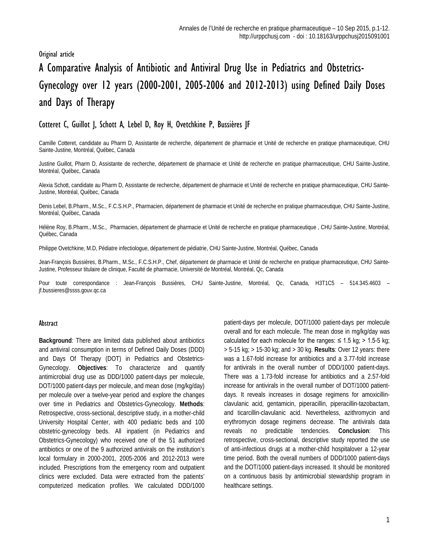## Original article

# A Comparative Analysis of Antibiotic and Antiviral Drug Use in Pediatrics and Obstetrics-Gynecology over 12 years (2000-2001, 2005-2006 and 2012-2013) using Defined Daily Doses and Days of Therapy

# Cotteret C, Guillot J, Schott A, Lebel D, Roy H, Ovetchkine P, Bussières JF

Camille Cotteret, candidate au Pharm D, Assistante de recherche, département de pharmacie et Unité de recherche en pratique pharmaceutique, CHU Sainte-Justine, Montréal, Québec, Canada

Justine Guillot, Pharm D, Assistante de recherche, département de pharmacie et Unité de recherche en pratique pharmaceutique, CHU Sainte-Justine, Montréal, Québec, Canada

Alexia Schott, candidate au Pharm D, Assistante de recherche, département de pharmacie et Unité de recherche en pratique pharmaceutique, CHU Sainte-Justine, Montréal, Québec, Canada

Denis Lebel, B.Pharm., M.Sc., F.C.S.H.P., Pharmacien, département de pharmacie et Unité de recherche en pratique pharmaceutique, CHU Sainte-Justine, Montréal, Québec, Canada

Hélène Roy, B.Pharm., M.Sc., Pharmacien, département de pharmacie et Unité de recherche en pratique pharmaceutique , CHU Sainte-Justine, Montréal, Québec, Canada

Philippe Ovetchkine, M.D, Pédiatre infectiologue, département de pédiatrie, CHU Sainte-Justine, Montréal, Québec, Canada

Jean-François Bussières, B.Pharm., M.Sc., F.C.S.H.P., Chef, département de pharmacie et Unité de recherche en pratique pharmaceutique, CHU Sainte-Justine, Professeur titulaire de clinique, Faculté de pharmacie, Université de Montréal, Montréal, Qc, Canada

Pour toute correspondance : Jean-François Bussières, CHU Sainte-Justine, Montréal, Qc, Canada, H3T1C5 - 514.345.4603 [jf.bussieres@ssss.gouv.qc.ca](mailto:jf.bussieres@ssss.gouv.qc.ca)

#### Abstract

**Background**: There are limited data published about antibiotics and antiviral consumption in terms of Defined Daily Doses (DDD) and Days Of Therapy (DOT) in Pediatrics and Obstetrics-Gynecology. **Objectives**: To characterize and quantify antimicrobial drug use as DDD/1000 patient-days per molecule, DOT/1000 patient-days per molecule, and mean dose (mg/kg/day) per molecule over a twelve-year period and explore the changes over time in Pediatrics and Obstetrics-Gynecology. **Methods**: Retrospective, cross-sectional, descriptive study, in a mother-child University Hospital Center, with 400 pediatric beds and 100 obstetric-gynecology beds. All inpatient (in Pediatrics and Obstetrics-Gynecology) who received one of the 51 authorized antibiotics or one of the 9 authorized antivirals on the institution's local formulary in 2000-2001, 2005-2006 and 2012-2013 were included. Prescriptions from the emergency room and outpatient clinics were excluded. Data were extracted from the patients' computerized medication profiles. We calculated DDD/1000

patient-days per molecule, DOT/1000 patient-days per molecule overall and for each molecule. The mean dose in mg/kg/day was calculated for each molecule for the ranges:  $\leq 1.5$  kg; > 1.5-5 kg; > 5-15 kg; > 15-30 kg; and > 30 kg. **Results**: Over 12 years: there was a 1.67-fold increase for antibiotics and a 3.77-fold increase for antivirals in the overall number of DDD/1000 patient-days. There was a 1.73-fold increase for antibiotics and a 2.57-fold increase for antivirals in the overall number of DOT/1000 patientdays. It reveals increases in dosage regimens for amoxicillinclavulanic acid, gentamicin, piperacillin, piperacillin-tazobactam, and ticarcillin-clavulanic acid. Nevertheless, azithromycin and erythromycin dosage regimens decrease. The antivirals data reveals no predictable tendencies. **Conclusion**: This retrospective, cross-sectional, descriptive study reported the use of anti-infectious drugs at a mother-child hospitalover a 12-year time period. Both the overall numbers of DDD/1000 patient-days and the DOT/1000 patient-days increased. It should be monitored on a continuous basis by antimicrobial stewardship program in healthcare settings.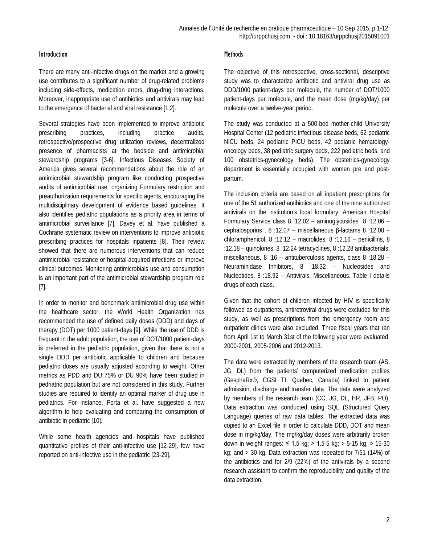#### **Introduction**

There are many anti-infective drugs on the market and a growing use contributes to a significant number of drug-related problems including side-effects, medication errors, drug-drug interactions. Moreover, inappropriate use of antibiotics and antivirals may lead to the emergence of bacterial and viral resistance [1,2].

Several strategies have been implemented to improve antibiotic prescribing practices, including practice audits, retrospective/prospective drug utilization reviews, decentralized presence of pharmacists at the bedside and antimicrobial stewardship programs [3-6]. Infectious Diseases Society of America gives several recommendations about the role of an antimicrobial stewardship program like conducting prospective audits of antimicrobial use, organizing Formulary restriction and preauthorization requirements for specific agents, encouraging the multidisciplinary development of evidence based guidelines. It also identifies pediatric populations as a priority area in terms of antimicrobial surveillance [7]. Davey et al. have published a Cochrane systematic review on interventions to improve antibiotic prescribing practices for hospitals inpatients [8]. Their review showed that there are numerous interventions that can reduce antimicrobial resistance or hospital-acquired infections or improve clinical outcomes. Monitoring antimicrobials use and consumption is an important part of the antimicrobial stewardship program role [7].

In order to monitor and benchmark antimicrobial drug use within the healthcare sector, the World Health Organization has recommended the use of defined daily doses (DDD) and days of therapy (DOT) per 1000 patient-days [9]. While the use of DDD is frequent in the adult population, the use of DOT/1000 patient-days is preferred in the pediatric population, given that there is not a single DDD per antibiotic applicable to children and because pediatric doses are usually adjusted according to weight. Other metrics as PDD and DU 75% or DU 90% have been studied in pedriatric population but are not considered in this study. Further studies are required to identify an optimal marker of drug use in pediatrics. For instance, Porta et al. have suggested a new algorithm to help evaluating and comparing the consumption of antibiotic in pediatric [10].

While some health agencies and hospitals have published quantitative profiles of their anti-infective use [12-29], few have reported on anti-infective use in the pediatric [23-29].

#### **Methods**

The objective of this retrospective, cross-sectional, descriptive study was to characterize antibiotic and antiviral drug use as DDD/1000 patient-days per molecule, the number of DOT/1000 patient-days per molecule, and the mean dose (mg/kg/day) per molecule over a twelve-year period.

The study was conducted at a 500-bed mother-child University Hospital Center (12 pediatric infectious disease beds, 62 pediatric NICU beds, 24 pediatric PICU beds, 42 pediatric hematologyoncology beds, 38 pediatric surgery beds, 222 pediatric beds, and 100 obstetrics-gynecology beds). The obstetrics-gynecology department is essentially occupied with women pre and postpartum.

The inclusion criteria are based on all inpatient prescriptions for one of the 51 authorized antibiotics and one of the nine authorized antivirals on the institution's local formulary: American Hospital Formulary Service class 8 :12.02 – aminoglycosides 8 :12.06 – cephalosporins , 8 :12.07 – miscellaneous β-lactams 8 :12.08 – chloramphenicol, 8 :12.12 – macrolides, 8 :12.16 – penicillins, 8 :12.18 – quinolones, 8 :12.24 tetracyclines, 8 :12.28 antibacterials, miscellaneous, 8 :16 – antituberculosis agents, class 8 :18.28 – Neuraminidase Inhibitors, 8 :18.32 – Nucleosides and Nucleotides, 8 :18.92 – Antivirals, Miscellaneous. Table I details drugs of each class.

Given that the cohort of children infected by HIV is specifically followed as outpatients, antiretroviral drugs were excluded for this study, as well as prescriptions from the emergency room and outpatient clinics were also excluded. Three fiscal years that ran from April 1st to March 31st of the following year were evaluated: 2000-2001, 2005-2006 and 2012-2013.

The data were extracted by members of the research team (AS, JG, DL) from the patients' computerized medication profiles (GesphaRx®, CGSI TI, Quebec, Canada) linked to patient admission, discharge and transfer data. The data were analyzed by members of the research team (CC, JG, DL, HR, JFB, PO). Data extraction was conducted using SQL (Structured Query Language) queries of raw data tables. The extracted data was copied to an Excel file in order to calculate DDD, DOT and mean dose in mg/kg/day. The mg/kg/day doses were arbitrarily broken down in weight ranges: ≤ 1.5 kg; > 1.5-5 kg; > 5-15 kg; > 15-30 kg; and > 30 kg. Data extraction was repeated for 7/51 (14%) of the antibiotics and for 2/9 (22%) of the antivirals by a second research assistant to confirm the reproducibility and quality of the data extraction.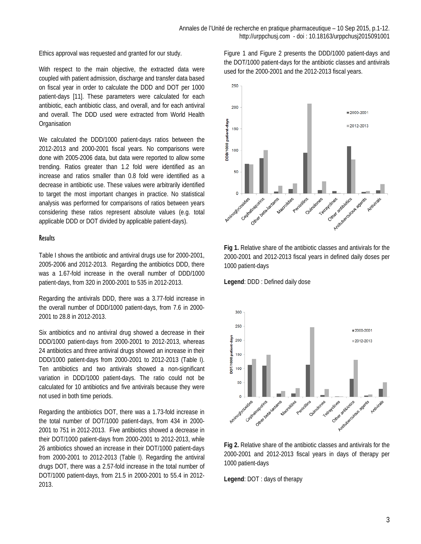Ethics approval was requested and granted for our study.

With respect to the main objective, the extracted data were coupled with patient admission, discharge and transfer data based on fiscal year in order to calculate the DDD and DOT per 1000 patient-days [11]. These parameters were calculated for each antibiotic, each antibiotic class, and overall, and for each antiviral and overall. The DDD used were extracted from World Health **Organisation** 

We calculated the DDD/1000 patient-days ratios between the 2012-2013 and 2000-2001 fiscal years. No comparisons were done with 2005-2006 data, but data were reported to allow some trending. Ratios greater than 1.2 fold were identified as an increase and ratios smaller than 0.8 fold were identified as a decrease in antibiotic use. These values were arbitrarily identified to target the most important changes in practice. No statistical analysis was performed for comparisons of ratios between years considering these ratios represent absolute values (e.g. total applicable DDD or DOT divided by applicable patient-days).

#### **Results**

Table I shows the antibiotic and antiviral drugs use for 2000-2001, 2005-2006 and 2012-2013. Regarding the antibiotics DDD, there was a 1.67-fold increase in the overall number of DDD/1000 patient-days, from 320 in 2000-2001 to 535 in 2012-2013.

Regarding the antivirals DDD, there was a 3.77-fold increase in the overall number of DDD/1000 patient-days, from 7.6 in 2000- 2001 to 28.8 in 2012-2013.

Six antibiotics and no antiviral drug showed a decrease in their DDD/1000 patient-days from 2000-2001 to 2012-2013, whereas 24 antibiotics and three antiviral drugs showed an increase in their DDD/1000 patient-days from 2000-2001 to 2012-2013 (Table I). Ten antibiotics and two antivirals showed a non-significant variation in DDD/1000 patient-days. The ratio could not be calculated for 10 antibiotics and five antivirals because they were not used in both time periods.

Regarding the antibiotics DOT, there was a 1.73-fold increase in the total number of DOT/1000 patient-days, from 434 in 2000- 2001 to 751 in 2012-2013. Five antibiotics showed a decrease in their DOT/1000 patient-days from 2000-2001 to 2012-2013, while 26 antibiotics showed an increase in their DOT/1000 patient-days from 2000-2001 to 2012-2013 (Table I). Regarding the antiviral drugs DOT, there was a 2.57-fold increase in the total number of DOT/1000 patient-days, from 21.5 in 2000-2001 to 55.4 in 2012- 2013.

Figure 1 and Figure 2 presents the DDD/1000 patient-days and the DOT/1000 patient-days for the antibiotic classes and antivirals used for the 2000-2001 and the 2012-2013 fiscal years.



**Fig 1.** Relative share of the antibiotic classes and antivirals for the 2000-2001 and 2012-2013 fiscal years in defined daily doses per 1000 patient-days

**Legend**: DDD : Defined daily dose



**Fig 2.** Relative share of the antibiotic classes and antivirals for the 2000-2001 and 2012-2013 fiscal years in days of therapy per 1000 patient-days

**Legend**: DOT : days of therapy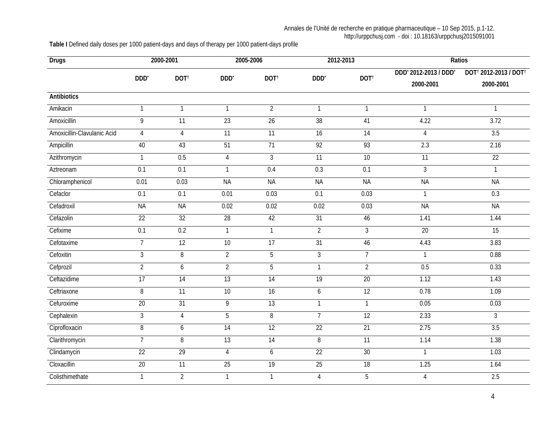#### Annales de l'Unité de recherche en pratique pharmaceutique – 10 Sep 2015, p.1-12. http://urppchusj.com - doi : 10.18163/urppchusj2015091001

**Table I** Defined daily doses per 1000 patient-days and days of therapy per 1000 patient-days profile

| <b>Drugs</b>                | 2000-2001        |                  | 2005-2006        |                  | 2012-2013        |                  | Ratios                |                                               |  |
|-----------------------------|------------------|------------------|------------------|------------------|------------------|------------------|-----------------------|-----------------------------------------------|--|
|                             | DDD <sup>*</sup> | DOT <sup>t</sup> | DDD <sup>*</sup> | DOT <sup>t</sup> | DDD <sup>*</sup> | DOT <sup>t</sup> | DDD' 2012-2013 / DDD' | DOT <sup>†</sup> 2012-2013 / DOT <sup>†</sup> |  |
|                             |                  |                  |                  |                  |                  |                  | 2000-2001             | 2000-2001                                     |  |
| <b>Antibiotics</b>          |                  |                  |                  |                  |                  |                  |                       |                                               |  |
| Amikacin                    | $\mathbf{1}$     | $\mathbf{1}$     | $\mathbf{1}$     | $\overline{2}$   | $\mathbf{1}$     | $\mathbf{1}$     | $\mathbf{1}$          | $\mathbf{1}$                                  |  |
| Amoxicillin                 | $\overline{9}$   | $\overline{11}$  | 23               | 26               | 38               | 41               | 4.22                  | 3.72                                          |  |
| Amoxicillin-Clavulanic Acid | $\overline{4}$   | $\overline{4}$   | $\overline{11}$  | $\overline{11}$  | $\overline{16}$  | $\overline{14}$  | $\overline{4}$        | 3.5                                           |  |
| Ampicillin                  | 40               | 43               | 51               | $\overline{71}$  | 92               | 93               | 2.3                   | 2.16                                          |  |
| Azithromycin                | $\mathbf{1}$     | 0.5              | $\overline{4}$   | 3                | $\overline{11}$  | 10               | $\overline{11}$       | 22                                            |  |
| Aztreonam                   | $\overline{0.1}$ | $\overline{0.1}$ | $\mathbf{1}$     | 0.4              | 0.3              | 0.1              | $\mathfrak{Z}$        | $\mathbf{1}$                                  |  |
| Chloramphenicol             | 0.01             | 0.03             | <b>NA</b>        | <b>NA</b>        | <b>NA</b>        | <b>NA</b>        | <b>NA</b>             | <b>NA</b>                                     |  |
| Cefaclor                    | 0.1              | 0.1              | 0.01             | 0.03             | 0.1              | 0.03             | $\mathbf{1}$          | 0.3                                           |  |
| Cefadroxil                  | <b>NA</b>        | <b>NA</b>        | 0.02             | 0.02             | 0.02             | 0.03             | <b>NA</b>             | <b>NA</b>                                     |  |
| Cefazolin                   | $\overline{22}$  | $\overline{32}$  | $\overline{28}$  | 42               | 31               | 46               | 1.41                  | 1.44                                          |  |
| Cefixime                    | 0.1              | 0.2              | $\mathbf{1}$     | $\mathbf{1}$     | $\overline{2}$   | 3                | 20                    | 15                                            |  |
| Cefotaxime                  | $\overline{7}$   | 12               | 10               | 17               | 31               | 46               | 4.43                  | 3.83                                          |  |
| Cefoxitin                   | $\mathfrak{Z}$   | 8                | $\overline{2}$   | 5                | $\overline{3}$   | $\overline{7}$   | $\mathbf{1}$          | 0.88                                          |  |
| Cefprozil                   | $\overline{2}$   | 6                | $\overline{2}$   | $\overline{5}$   | $\overline{1}$   | $\overline{2}$   | 0.5                   | 0.33                                          |  |
| Ceftazidime                 | 17               | 14               | 13               | 14               | 19               | 20               | 1.12                  | 1.43                                          |  |
| Ceftriaxone                 | $\overline{8}$   | 11               | 10               | 16               | $6\overline{6}$  | 12               | 0.78                  | 1.09                                          |  |
| Cefuroxime                  | 20               | 31               | 9                | 13               | $\overline{1}$   | $\mathbf{1}$     | 0.05                  | 0.03                                          |  |
| Cephalexin                  | $\overline{3}$   | $\overline{4}$   | $\overline{5}$   | $\overline{8}$   | $\overline{7}$   | 12               | 2.33                  | $\overline{3}$                                |  |
| Ciprofloxacin               | $\overline{8}$   | $\boldsymbol{6}$ | $\overline{14}$  | 12               | 22               | 21               | 2.75                  | 3.5                                           |  |
| Clarithromycin              | $\overline{7}$   | $\overline{8}$   | 13               | 14               | $\overline{8}$   | $\overline{11}$  | 1.14                  | 1.38                                          |  |
| Clindamycin                 | $\overline{22}$  | 29               | $\overline{4}$   | 6                | 22               | 30               | $\mathbf{1}$          | 1.03                                          |  |
| Cloxacillin                 | 20               | $\overline{11}$  | 25               | 19               | 25               | 18               | 1.25                  | 1.64                                          |  |
| Colisthimethate             | 1                | $\overline{2}$   | $\mathbf{1}$     | $\mathbf{1}$     | $\overline{4}$   | 5                | 4                     | 2.5                                           |  |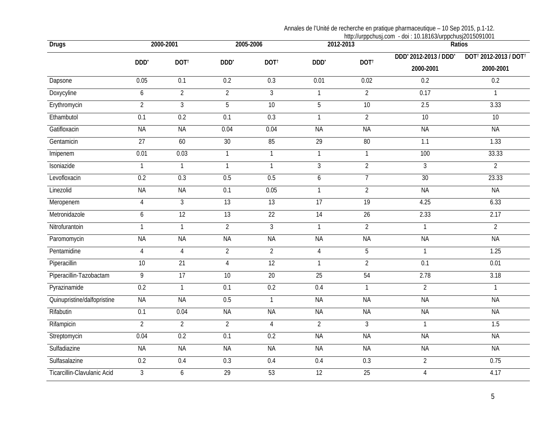### Annales de l'Unité de recherche en pratique pharmaceutique – 10 Sep 2015, p.1-12.

|                             |                  |                  |                  |                  | http://urppchusj.com - doi : 10.18163/urppchusj2015091001 |                  |                                    |                                                            |  |  |
|-----------------------------|------------------|------------------|------------------|------------------|-----------------------------------------------------------|------------------|------------------------------------|------------------------------------------------------------|--|--|
| <b>Drugs</b>                | 2000-2001        |                  |                  | 2005-2006        | 2012-2013                                                 |                  | Ratios                             |                                                            |  |  |
|                             | DDD <sup>*</sup> | DOT <sup>t</sup> | DDD <sup>*</sup> | DOT <sup>t</sup> | DDD'                                                      | DOT <sup>t</sup> | DDD' 2012-2013 / DDD'<br>2000-2001 | DOT <sup>†</sup> 2012-2013 / DOT <sup>†</sup><br>2000-2001 |  |  |
| Dapsone                     | 0.05             | 0.1              | 0.2              | 0.3              | 0.01                                                      | 0.02             | 0.2                                | 0.2                                                        |  |  |
| Doxycyline                  | 6                | $\overline{2}$   | $\overline{2}$   | $\overline{3}$   | $\mathbf{1}$                                              | $\overline{2}$   | 0.17                               | $\mathbf{1}$                                               |  |  |
| Erythromycin                | $\overline{2}$   | $\mathfrak{Z}$   | 5                | $\overline{10}$  | $\overline{5}$                                            | $\overline{10}$  | 2.5                                | 3.33                                                       |  |  |
| Ethambutol                  | 0.1              | 0.2              | 0.1              | 0.3              | $\mathbf{1}$                                              | $\overline{2}$   | 10                                 | 10                                                         |  |  |
| Gatifloxacin                | <b>NA</b>        | <b>NA</b>        | 0.04             | 0.04             | <b>NA</b>                                                 | <b>NA</b>        | <b>NA</b>                          | <b>NA</b>                                                  |  |  |
| Gentamicin                  | $\overline{27}$  | 60               | 30               | 85               | 29                                                        | 80               | $\overline{1.1}$                   | 1.33                                                       |  |  |
| Imipenem                    | 0.01             | 0.03             | $\mathbf{1}$     | $\mathbf{1}$     | $\overline{1}$                                            | $\mathbf{1}$     | 100                                | 33.33                                                      |  |  |
| Isoniazide                  | $\overline{1}$   | $\mathbf{1}$     | $\mathbf{1}$     | $\overline{1}$   | $\overline{3}$                                            | $\overline{2}$   | $\overline{3}$                     | $\overline{2}$                                             |  |  |
| Levofloxacin                | 0.2              | 0.3              | 0.5              | 0.5              | 6                                                         | $\overline{7}$   | 30                                 | 23.33                                                      |  |  |
| Linezolid                   | <b>NA</b>        | <b>NA</b>        | 0.1              | 0.05             | $\overline{1}$                                            | $\overline{2}$   | <b>NA</b>                          | <b>NA</b>                                                  |  |  |
| Meropenem                   | $\sqrt{4}$       | $\overline{3}$   | 13               | 13               | 17                                                        | 19               | 4.25                               | 6.33                                                       |  |  |
| Metronidazole               | 6                | 12               | 13               | 22               | 14                                                        | 26               | 2.33                               | 2.17                                                       |  |  |
| Nitrofurantoin              | $\mathbf{1}$     | $\mathbf{1}$     | $\overline{2}$   | $\overline{3}$   | $\mathbf{1}$                                              | $\overline{2}$   | $\mathbf{1}$                       | $\overline{2}$                                             |  |  |
| Paromomycin                 | <b>NA</b>        | <b>NA</b>        | <b>NA</b>        | <b>NA</b>        | <b>NA</b>                                                 | <b>NA</b>        | <b>NA</b>                          | <b>NA</b>                                                  |  |  |
| Pentamidine                 | $\overline{4}$   | $\overline{4}$   | $\overline{2}$   | $\overline{2}$   | $\overline{4}$                                            | 5                | $\mathbf{1}$                       | 1.25                                                       |  |  |
| Piperacillin                | $\overline{10}$  | 21               | $\overline{4}$   | 12               | $\mathbf{1}$                                              | $\overline{2}$   | $\overline{0.1}$                   | 0.01                                                       |  |  |
| Piperacillin-Tazobactam     | 9                | $\overline{17}$  | $\overline{10}$  | $\overline{20}$  | $\overline{25}$                                           | 54               | 2.78                               | 3.18                                                       |  |  |
| Pyrazinamide                | 0.2              | $\mathbf{1}$     | 0.1              | 0.2              | 0.4                                                       | $\mathbf{1}$     | $\overline{2}$                     | $\mathbf{1}$                                               |  |  |
| Quinupristine/dalfopristine | <b>NA</b>        | <b>NA</b>        | 0.5              | $\mathbf{1}$     | <b>NA</b>                                                 | <b>NA</b>        | <b>NA</b>                          | <b>NA</b>                                                  |  |  |
| Rifabutin                   | 0.1              | 0.04             | <b>NA</b>        | <b>NA</b>        | <b>NA</b>                                                 | <b>NA</b>        | <b>NA</b>                          | <b>NA</b>                                                  |  |  |
| Rifampicin                  | $\overline{2}$   | $\overline{2}$   | $\overline{2}$   | $\overline{4}$   | $\overline{2}$                                            | $\overline{3}$   | $\mathbf{1}$                       | $\overline{1.5}$                                           |  |  |
| Streptomycin                | 0.04             | 0.2              | 0.1              | 0.2              | <b>NA</b>                                                 | <b>NA</b>        | <b>NA</b>                          | <b>NA</b>                                                  |  |  |
| Sulfadiazine                | <b>NA</b>        | <b>NA</b>        | <b>NA</b>        | <b>NA</b>        | <b>NA</b>                                                 | <b>NA</b>        | <b>NA</b>                          | <b>NA</b>                                                  |  |  |
| Sulfasalazine               | 0.2              | 0.4              | 0.3              | 0.4              | 0.4                                                       | 0.3              | $\overline{2}$                     | 0.75                                                       |  |  |
| Ticarcillin-Clavulanic Acid | $\overline{3}$   | 6                | 29               | 53               | 12                                                        | 25               | $\overline{4}$                     | 4.17                                                       |  |  |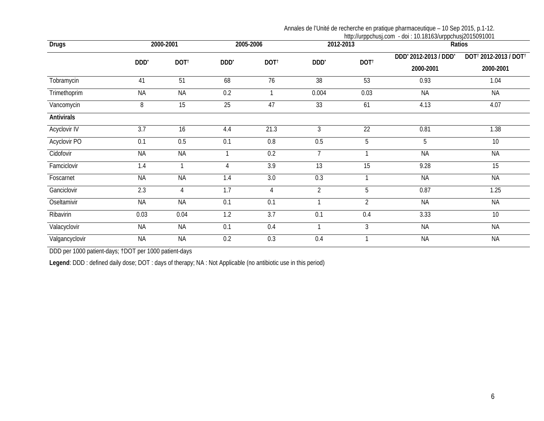Annales de l'Unité de recherche en pratique pharmaceutique – 10 Sep 2015, p.1-12.

|                     |                  |                  |                  | http://urppchusj.com - doi : 10.18163/urppchusj2015091001 |                  |                  |                       |                                               |  |
|---------------------|------------------|------------------|------------------|-----------------------------------------------------------|------------------|------------------|-----------------------|-----------------------------------------------|--|
| <b>Drugs</b>        |                  | 2000-2001        |                  | 2005-2006                                                 |                  | 2012-2013        | Ratios                |                                               |  |
|                     |                  |                  |                  |                                                           |                  | DOT <sup>t</sup> | DDD' 2012-2013 / DDD' | DOT <sup>†</sup> 2012-2013 / DOT <sup>†</sup> |  |
|                     | DDD <sup>*</sup> | DOT <sup>t</sup> | DDD <sup>*</sup> | DOT <sup>t</sup>                                          | DDD <sup>*</sup> |                  | 2000-2001             | 2000-2001                                     |  |
| Tobramycin          | 41               | $\overline{51}$  | 68               | $\overline{76}$                                           | $\overline{38}$  | 53               | 0.93                  | 1.04                                          |  |
| Trimethoprim        | <b>NA</b>        | <b>NA</b>        | 0.2              | $\mathbf{1}$                                              | 0.004            | 0.03             | <b>NA</b>             | <b>NA</b>                                     |  |
| Vancomycin          | 8                | 15               | 25               | 47                                                        | 33               | 61               | 4.13                  | 4.07                                          |  |
| <b>Antivirals</b>   |                  |                  |                  |                                                           |                  |                  |                       |                                               |  |
| Acyclovir IV        | 3.7              | 16               | 4.4              | 21.3                                                      | 3                | $\overline{22}$  | 0.81                  | 1.38                                          |  |
| <b>Acyclovir PO</b> | 0.1              | 0.5              | 0.1              | 0.8                                                       | 0.5              | 5                | 5                     | $\overline{10}$                               |  |
| Cidofovir           | <b>NA</b>        | <b>NA</b>        |                  | 0.2                                                       | $\overline{7}$   | $\mathbf{1}$     | <b>NA</b>             | <b>NA</b>                                     |  |
| Famciclovir         | 1.4              |                  | 4                | 3.9                                                       | 13               | 15               | 9.28                  | 15                                            |  |
| Foscarnet           | <b>NA</b>        | <b>NA</b>        | 1.4              | 3.0                                                       | 0.3              | $\mathbf{1}$     | <b>NA</b>             | <b>NA</b>                                     |  |
| Ganciclovir         | 2.3              | 4                | 1.7              | 4                                                         | $\overline{2}$   | 5                | 0.87                  | 1.25                                          |  |
| Oseltamivir         | <b>NA</b>        | <b>NA</b>        | 0.1              | 0.1                                                       | 1                | $\overline{2}$   | <b>NA</b>             | <b>NA</b>                                     |  |
| Ribavirin           | 0.03             | 0.04             | 1.2              | 3.7                                                       | 0.1              | 0.4              | 3.33                  | 10                                            |  |
| Valacyclovir        | <b>NA</b>        | <b>NA</b>        | 0.1              | 0.4                                                       | $\mathbf{1}$     | 3                | <b>NA</b>             | <b>NA</b>                                     |  |
| Valgancyclovir      | <b>NA</b>        | <b>NA</b>        | 0.2              | 0.3                                                       | 0.4              | 1                | <b>NA</b>             | <b>NA</b>                                     |  |

DDD per 1000 patient-days; †DOT per 1000 patient-days

**Legend**: DDD : defined daily dose; DOT : days of therapy; NA : Not Applicable (no antibiotic use in this period)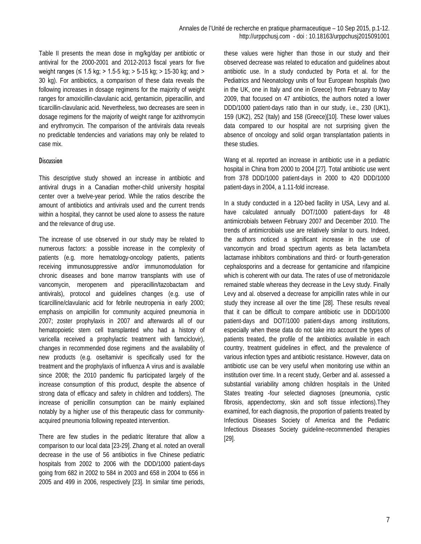Table II presents the mean dose in mg/kg/day per antibiotic or antiviral for the 2000-2001 and 2012-2013 fiscal years for five weight ranges ( $\leq 1.5$  kg; > 1.5-5 kg; > 5-15 kg; > 15-30 kg; and > 30 kg). For antibiotics, a comparison of these data reveals the following increases in dosage regimens for the majority of weight ranges for amoxicillin-clavulanic acid, gentamicin, piperacillin, and ticarcillin-clavulanic acid. Nevertheless, two decreases are seen in dosage regimens for the majority of weight range for azithromycin and erythromycin. The comparison of the antivirals data reveals no predictable tendencies and variations may only be related to case mix.

#### **Discussion**

This descriptive study showed an increase in antibiotic and antiviral drugs in a Canadian mother-child university hospital center over a twelve-year period. While the ratios describe the amount of antibiotics and antivirals used and the current trends within a hospital, they cannot be used alone to assess the nature and the relevance of drug use.

The increase of use observed in our study may be related to numerous factors: a possible increase in the complexity of patients (e.g. more hematology-oncology patients, patients receiving immunosuppressive and/or immunomodulation for chronic diseases and bone marrow transplants with use of vancomycin, meropenem and piperacillin/tazobactam and antivirals), protocol and guidelines changes (e.g. use of ticarcilline/clavulanic acid for febrile neutropenia in early 2000; emphasis on ampicillin for community acquired pneumonia in 2007; zoster prophylaxis in 2007 and afterwards all of our hematopoietic stem cell transplanted who had a history of varicella received a prophylactic treatment with famciclovir), changes in recommended dose regimens and the availability of new products (e.g. oseltamivir is specifically used for the treatment and the prophylaxis of influenza A virus and is available since 2008; the 2010 pandemic flu participated largely of the increase consumption of this product, despite the absence of strong data of efficacy and safety in children and toddlers). The increase of penicillin consumption can be mainly explained notably by a higher use of this therapeutic class for communityacquired pneumonia following repeated intervention.

There are few studies in the pediatric literature that allow a comparison to our local data [23-29]. Zhang et al. noted an overall decrease in the use of 56 antibiotics in five Chinese pediatric hospitals from 2002 to 2006 with the DDD/1000 patient-days going from 682 in 2002 to 584 in 2003 and 658 in 2004 to 656 in 2005 and 499 in 2006, respectively [23]. In similar time periods,

these values were higher than those in our study and their observed decrease was related to education and guidelines about antibiotic use. In a study conducted by Porta et al. for the Pediatrics and Neonatology units of four European hospitals (two in the UK, one in Italy and one in Greece) from February to May 2009, that focused on 47 antibiotics, the authors noted a lower DDD/1000 patient-days ratio than in our study, i.e., 230 (UK1), 159 (UK2), 252 (Italy) and 158 (Greece)[10]. These lower values data compared to our hospital are not surprising given the absence of oncology and solid organ transplantation patients in these studies.

Wang et al. reported an increase in antibiotic use in a pediatric hospital in China from 2000 to 2004 [27]. Total antibiotic use went from 378 DDD/1000 patient-days in 2000 to 420 DDD/1000 patient-days in 2004, a 1.11-fold increase.

In a study conducted in a 120-bed facility in USA, Levy and al. have calculated annually DOT/1000 patient-days for 48 antimicrobials between February 2007 and December 2010. The trends of antimicrobials use are relatively similar to ours. Indeed, the authors noticed a significant increase in the use of vancomycin and broad spectrum agents as beta lactam/beta lactamase inhibitors combinations and third- or fourth-generation cephalosporins and a decrease for gentamicine and rifampicine which is coherent with our data. The rates of use of metronidazole remained stable whereas they decrease in the Levy study. Finally Levy and al. observed a decrease for ampicillin rates while in our study they increase all over the time [28]. These results reveal that it can be difficult to compare antibiotic use in DDD/1000 patient-days and DOT/1000 patient-days among institutions, especially when these data do not take into account the types of patients treated, the profile of the antibiotics available in each country, treatment guidelines in effect, and the prevalence of various infection types and antibiotic resistance. However, data on antibiotic use can be very useful when monitoring use within an institution over time. In a recent study, Gerber and al. assessed a substantial variability among children hospitals in the United States treating -four selected diagnoses (pneumonia, cystic fibrosis, appendectomy, skin and soft tissue infections).They examined, for each diagnosis, the proportion of patients treated by Infectious Diseases Society of America and the Pediatric Infectious Diseases Society guideline-recommended therapies [29].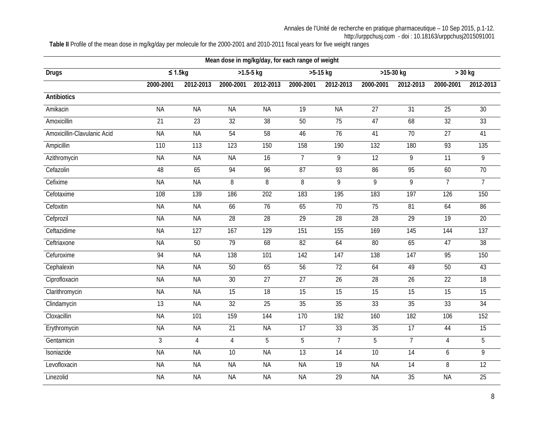**Table II** Profile of the mean dose in mg/kg/day per molecule for the 2000-2001 and 2010-2011 fiscal years for five weight ranges

| Mean dose in mg/kg/day, for each range of weight |                 |                 |                 |                 |                 |                 |                 |                 |                 |                 |
|--------------------------------------------------|-----------------|-----------------|-----------------|-----------------|-----------------|-----------------|-----------------|-----------------|-----------------|-----------------|
| <b>Drugs</b>                                     | $\leq 1.5$ kg   |                 | $>1.5 - 5$ kg   |                 | $>5-15$ kg      |                 | $>15-30$ kg     |                 | $>$ 30 kg       |                 |
|                                                  | 2000-2001       | 2012-2013       | 2000-2001       | 2012-2013       | 2000-2001       | 2012-2013       | 2000-2001       | 2012-2013       | 2000-2001       | 2012-2013       |
| <b>Antibiotics</b>                               |                 |                 |                 |                 |                 |                 |                 |                 |                 |                 |
| Amikacin                                         | <b>NA</b>       | <b>NA</b>       | <b>NA</b>       | <b>NA</b>       | $\overline{19}$ | <b>NA</b>       | 27              | $\overline{31}$ | $\overline{25}$ | 30              |
| Amoxicillin                                      | $\overline{21}$ | $\overline{23}$ | $\overline{32}$ | 38              | $50\,$          | 75              | 47              | 68              | $\overline{32}$ | 33              |
| Amoxicillin-Clavulanic Acid                      | <b>NA</b>       | <b>NA</b>       | 54              | 58              | 46              | $\overline{76}$ | 41              | $\overline{70}$ | $\overline{27}$ | 41              |
| Ampicillin                                       | 110             | 113             | 123             | 150             | 158             | 190             | 132             | 180             | 93              | 135             |
| Azithromycin                                     | <b>NA</b>       | <b>NA</b>       | <b>NA</b>       | $\overline{16}$ | $\overline{7}$  | $\overline{9}$  | 12              | $\overline{9}$  | 11              | $\overline{9}$  |
| Cefazolin                                        | 48              | 65              | 94              | 96              | 87              | 93              | 86              | 95              | 60              | $\overline{70}$ |
| Cefixime                                         | <b>NA</b>       | <b>NA</b>       | 8               | 8               | 8               | $\overline{9}$  | $\overline{9}$  | $\overline{9}$  | $\overline{7}$  | $\overline{7}$  |
| Cefotaxime                                       | 108             | 139             | 186             | 202             | 183             | 195             | 183             | 197             | 126             | 150             |
| Cefoxitin                                        | <b>NA</b>       | <b>NA</b>       | 66              | $\overline{76}$ | 65              | $\overline{70}$ | $\overline{75}$ | 81              | 64              | 86              |
| Cefprozil                                        | <b>NA</b>       | <b>NA</b>       | $\overline{28}$ | 28              | 29              | 28              | $\overline{28}$ | $\overline{29}$ | $\overline{19}$ | $\overline{20}$ |
| Ceftazidime                                      | <b>NA</b>       | 127             | 167             | 129             | 151             | 155             | 169             | 145             | 144             | 137             |
| Ceftriaxone                                      | <b>NA</b>       | 50              | 79              | 68              | 82              | 64              | 80              | 65              | 47              | 38              |
| Cefuroxime                                       | 94              | <b>NA</b>       | 138             | 101             | 142             | 147             | 138             | 147             | 95              | 150             |
| Cephalexin                                       | <b>NA</b>       | <b>NA</b>       | 50              | 65              | 56              | 72              | 64              | 49              | 50              | 43              |
| Ciprofloxacin                                    | <b>NA</b>       | <b>NA</b>       | 30              | $\overline{27}$ | $\overline{27}$ | $\overline{26}$ | $\overline{28}$ | 26              | $\overline{22}$ | $\overline{18}$ |
| Clarithromycin                                   | <b>NA</b>       | <b>NA</b>       | $\overline{15}$ | $\overline{18}$ | $\overline{15}$ | $\overline{15}$ | $\overline{15}$ | $\overline{15}$ | 15              | 15              |
| Clindamycin                                      | $\overline{13}$ | <b>NA</b>       | 32              | $\overline{25}$ | 35              | 35              | 33              | 35              | 33              | $\overline{34}$ |
| Cloxacillin                                      | <b>NA</b>       | 101             | 159             | 144             | 170             | 192             | 160             | 182             | 106             | 152             |
| Erythromycin                                     | <b>NA</b>       | <b>NA</b>       | $\overline{21}$ | <b>NA</b>       | $\overline{17}$ | 33              | 35              | $\overline{17}$ | 44              | $\overline{15}$ |
| Gentamicin                                       | $\overline{3}$  | 4               | $\overline{4}$  | 5               | 5               | $\overline{7}$  | 5               | 7               | $\overline{4}$  | 5               |
| Isoniazide                                       | <b>NA</b>       | <b>NA</b>       | 10              | <b>NA</b>       | 13              | 14              | 10              | 14              | 6               | 9               |
| Levofloxacin                                     | <b>NA</b>       | <b>NA</b>       | <b>NA</b>       | <b>NA</b>       | <b>NA</b>       | 19              | <b>NA</b>       | 14              | $\overline{8}$  | 12              |
| Linezolid                                        | <b>NA</b>       | <b>NA</b>       | <b>NA</b>       | <b>NA</b>       | <b>NA</b>       | 29              | <b>NA</b>       | 35              | <b>NA</b>       | 25              |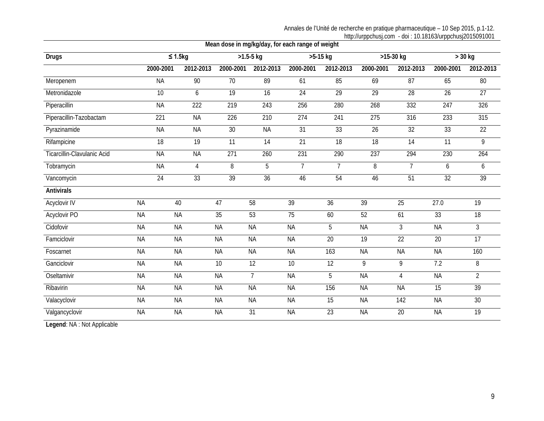Annales de l'Unité de recherche en pratique pharmaceutique – 10 Sep 2015, p.1-12. http://urppchusj.com - doi : 10.18163/urppchusj2015091001

| Mean dose in mg/kg/day, for each range of weight |                 |                 |                 |                 |                 |                 |                 |                 |                  |                 |
|--------------------------------------------------|-----------------|-----------------|-----------------|-----------------|-----------------|-----------------|-----------------|-----------------|------------------|-----------------|
| <b>Drugs</b>                                     | $\leq 1.5$ kg   |                 |                 | $>1.5 - 5$ kg   | $>5-15$ kg      |                 | $>15-30$ kg     |                 | $>$ 30 kg        |                 |
|                                                  | 2000-2001       | 2012-2013       | 2000-2001       | 2012-2013       | 2000-2001       | 2012-2013       | 2000-2001       | 2012-2013       | 2000-2001        | 2012-2013       |
| Meropenem                                        | <b>NA</b>       | 90              | $\overline{70}$ | 89              | 61              | 85              | 69              | $\overline{87}$ | 65               | 80              |
| Metronidazole                                    | $\overline{10}$ | 6               | $\overline{19}$ | 16              | $\overline{24}$ | $\overline{29}$ | $\overline{29}$ | $\overline{28}$ | $\overline{26}$  | 27              |
| Piperacillin                                     | <b>NA</b>       | 222             | 219             | 243             | 256             | 280             | 268             | 332             | 247              | 326             |
| Piperacillin-Tazobactam                          | 221             | <b>NA</b>       | 226             | 210             | 274             | 241             | 275             | 316             | 233              | 315             |
| Pyrazinamide                                     | <b>NA</b>       | <b>NA</b>       | $\overline{30}$ | <b>NA</b>       | $\overline{31}$ | 33              | $\overline{26}$ | $\overline{32}$ | 33               | 22              |
| Rifampicine                                      | $\overline{18}$ | $\overline{19}$ | $\overline{11}$ | 14              | 21              | 18              | $\overline{18}$ | $\overline{14}$ | $\overline{11}$  | 9               |
| Ticarcillin-Clavulanic Acid                      | <b>NA</b>       | <b>NA</b>       | 271             | 260             | 231             | 290             | 237             | 294             | 230              | 264             |
| Tobramycin                                       | <b>NA</b>       | $\overline{4}$  | 8               | 5               | $\overline{7}$  | $\overline{7}$  | 8               | $\overline{7}$  | 6                | 6               |
| Vancomycin                                       | $\overline{24}$ | 33              | $\overline{39}$ | $\overline{36}$ | 46              | 54              | 46              | 51              | $\overline{32}$  | $\overline{39}$ |
| <b>Antivirals</b>                                |                 |                 |                 |                 |                 |                 |                 |                 |                  |                 |
| Acyclovir IV                                     | <b>NA</b>       | 40              | 47              | 58              | 39              | 36              | 39              | 25              | 27.0             | $\overline{19}$ |
| <b>Acyclovir PO</b>                              | <b>NA</b>       | <b>NA</b>       | $\overline{35}$ | 53              | $\overline{75}$ | 60              | 52              | 61              | 33               | $\overline{18}$ |
| Cidofovir                                        | <b>NA</b>       | <b>NA</b>       | <b>NA</b>       | <b>NA</b>       | <b>NA</b>       | 5               | <b>NA</b>       | $\mathfrak{Z}$  | <b>NA</b>        | $\overline{3}$  |
| Famciclovir                                      | <b>NA</b>       | <b>NA</b>       | <b>NA</b>       | <b>NA</b>       | <b>NA</b>       | 20              | 19              | 22              | 20               | 17              |
| Foscarnet                                        | <b>NA</b>       | <b>NA</b>       | <b>NA</b>       | <b>NA</b>       | <b>NA</b>       | 163             | <b>NA</b>       | <b>NA</b>       | <b>NA</b>        | 160             |
| Ganciclovir                                      | <b>NA</b>       | <b>NA</b>       | 10              | $\overline{12}$ | 10              | $\overline{12}$ | 9               | 9               | $\overline{7.2}$ | 8               |
| Oseltamivir                                      | <b>NA</b>       | <b>NA</b>       | <b>NA</b>       | $\overline{7}$  | <b>NA</b>       | 5               | <b>NA</b>       | $\overline{4}$  | <b>NA</b>        | $\overline{2}$  |
| Ribavirin                                        | <b>NA</b>       | <b>NA</b>       | <b>NA</b>       | <b>NA</b>       | <b>NA</b>       | 156             | <b>NA</b>       | <b>NA</b>       | 15               | $\overline{39}$ |
| Valacyclovir                                     | <b>NA</b>       | <b>NA</b>       | <b>NA</b>       | <b>NA</b>       | <b>NA</b>       | $\overline{15}$ | <b>NA</b>       | 142             | <b>NA</b>        | 30 <sup>2</sup> |
| Valgancyclovir                                   | <b>NA</b>       | <b>NA</b>       | <b>NA</b>       | 31              | <b>NA</b>       | 23              | <b>NA</b>       | 20              | <b>NA</b>        | 19              |

**Legend**: NA : Not Applicable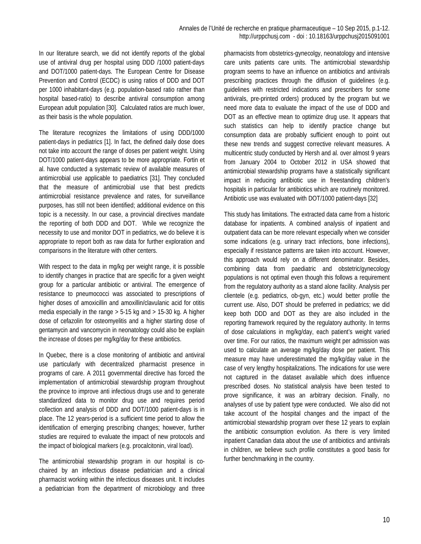In our literature search, we did not identify reports of the global use of antiviral drug per hospital using DDD /1000 patient-days and DOT/1000 patient-days. The European Centre for Disease Prevention and Control (ECDC) is using ratios of DDD and DOT per 1000 inhabitant-days (e.g. population-based ratio rather than hospital based-ratio) to describe antiviral consumption among European adult population [30]. Calculated ratios are much lower, as their basis is the whole population.

The literature recognizes the limitations of using DDD/1000 patient-days in pediatrics [1]. In fact, the defined daily dose does not take into account the range of doses per patient weight. Using DOT/1000 patient-days appears to be more appropriate. Fortin et al. have conducted a systematic review of available measures of antimicrobial use applicable to paediatrics [31]. They concluded that the measure of antimicrobial use that best predicts antimicrobial resistance prevalence and rates, for surveillance purposes, has still not been identified; additional evidence on this topic is a necessity. In our case, a provincial directives mandate the reporting of both DDD and DOT. While we recognize the necessity to use and monitor DOT in pediatrics, we do believe it is appropriate to report both as raw data for further exploration and comparisons in the literature with other centers.

With respect to the data in mg/kg per weight range, it is possible to identify changes in practice that are specific for a given weight group for a particular antibiotic or antiviral. The emergence of resistance to pneumococci was associated to prescriptions of higher doses of amoxicillin and amoxillin/clavulanic acid for otitis media especially in the range  $> 5-15$  kg and  $> 15-30$  kg. A higher dose of cefazolin for osteomyelitis and a higher starting dose of gentamycin and vancomycin in neonatology could also be explain the increase of doses per mg/kg/day for these antibiotics.

In Quebec, there is a close monitoring of antibiotic and antiviral use particularly with decentralized pharmacist presence in programs of care. A 2011 governmental directive has forced the implementation of antimicrobial stewardship program throughout the province to improve anti infectious drugs use and to generate standardized data to monitor drug use and requires period collection and analysis of DDD and DOT/1000 patient-days is in place. The 12 years-period is a sufficient time period to allow the identification of emerging prescribing changes; however, further studies are required to evaluate the impact of new protocols and the impact of biological markers (e.g. procalcitonin, viral load).

The antimicrobial stewardship program in our hospital is cochaired by an infectious disease pediatrician and a clinical pharmacist working within the infectious diseases unit. It includes a pediatrician from the department of microbiology and three

pharmacists from obstetrics-gynecolgy, neonatology and intensive care units patients care units. The antimicrobial stewardship program seems to have an influence on antibiotics and antivirals prescribing practices through the diffusion of guidelines (e.g. guidelines with restricted indications and prescribers for some antivirals, pre-printed orders) produced by the program but we need more data to evaluate the impact of the use of DDD and DOT as an effective mean to optimize drug use. It appears that such statistics can help to identify practice change but consumption data are probably sufficient enough to point out these new trends and suggest corrective relevant measures. A multicentric study conducted by Hersh and al. over almost 9 years from January 2004 to October 2012 in USA showed that antimicrobial stewardship programs have a statistically significant impact in reducing antibiotic use in freestanding children's hospitals in particular for antibiotics which are routinely monitored. Antibiotic use was evaluated with DOT/1000 patient-days [32]

This study has limitations. The extracted data came from a historic database for inpatients. A combined analysis of inpatient and outpatient data can be more relevant especially when we consider some indications (e.g. urinary tract infections, bone infections), especially if resistance patterns are taken into account. However, this approach would rely on a different denominator. Besides, combining data from paediatric and obstetric/gynecology populations is not optimal even though this follows a requirement from the regulatory authority as a stand alone facility. Analysis per clientele (e.g. pediatrics, ob-gyn, etc.) would better profile the current use. Also, DOT should be preferred in pediatrics; we did keep both DDD and DOT as they are also included in the reporting framework required by the regulatory authority. In terms of dose calculations in mg/kg/day, each patient's weight varied over time. For our ratios, the maximum weight per admission was used to calculate an average mg/kg/day dose per patient. This measure may have underestimated the mg/kg/day value in the case of very lengthy hospitalizations. The indications for use were not captured in the dataset available which does influence prescribed doses. No statistical analysis have been tested to prove significance, it was an arbitrary decision. Finally, no analyses of use by patient type were conducted. We also did not take account of the hospital changes and the impact of the antimicrobial stewardship program over these 12 years to explain the antibiotic consumption evolution. As there is very limited inpatient Canadian data about the use of antibiotics and antivirals in children, we believe such profile constitutes a good basis for further benchmarking in the country.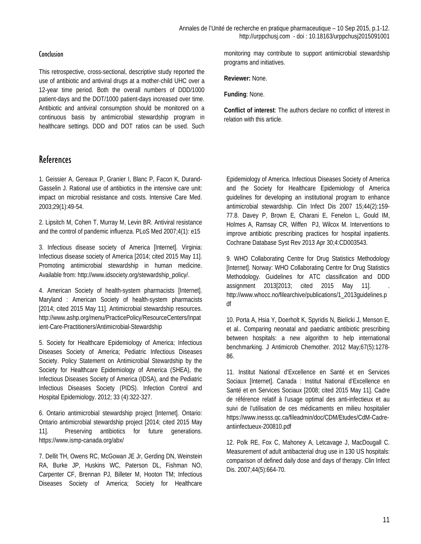#### **Conclusion**

This retrospective, cross-sectional, descriptive study reported the use of antibiotic and antiviral drugs at a mother-child UHC over a 12-year time period. Both the overall numbers of DDD/1000 patient-days and the DOT/1000 patient-days increased over time. Antibiotic and antiviral consumption should be monitored on a continuous basis by antimicrobial stewardship program in healthcare settings. DDD and DOT ratios can be used. Such monitoring may contribute to support antimicrobial stewardship programs and initiatives.

**Reviewer:** None.

**Funding**: None.

**Conflict of interest**: The authors declare no conflict of interest in relation with this article.

# **References**

1. Geissier A, Gereaux P, Granier I, Blanc P, Facon K, Durand-Gasselin J. Rational use of antibiotics in the intensive care unit: impact on microbial resistance and costs. Intensive Care Med. 2003;29(1):49-54.

2. Lipsitch M, Cohen T, Murray M, Levin BR. Antiviral resistance and the control of pandemic influenza. PLoS Med 2007;4(1): e15

3. Infectious disease society of America [Internet]. Virginia: Infectious disease society of America [2014; cited 2015 May 11]. Promoting antimicrobial stewardship in human medicine. Available from: http://www.idsociety.org/stewardship\_policy/.

4. American Society of health-system pharmacists [Internet]. Maryland : American Society of health-system pharmacists [2014; cited 2015 May 11]. Antimicrobial stewardship resources. http://www.ashp.org/menu/PracticePolicy/ResourceCenters/Inpat ient-Care-Practitioners/Antimicrobial-Stewardship

5. Society for Healthcare Epidemiology of America; Infectious Diseases Society of America; Pediatric Infectious Diseases Society. Policy Statement on Antimicrobial Stewardship by the Society for Healthcare Epidemiology of America (SHEA), the Infectious Diseases Society of America (IDSA), and the Pediatric Infectious Diseases Society (PIDS). Infection Control and Hospital Epidemiology. 2012; 33 (4):322-327.

6. Ontario antimicrobial stewardship project [Internet]. Ontario: Ontario antimicrobial stewardship project [2014; cited 2015 May 11]. Preserving antibiotics for future generations. https://www.ismp-canada.org/abx/

7. Dellit TH, Owens RC, McGowan JE Jr, Gerding DN, Weinstein RA, Burke JP, Huskins WC, Paterson DL, Fishman NO, Carpenter CF, Brennan PJ, Billeter M, Hooton TM; Infectious Diseases Society of America; Society for Healthcare

Epidemiology of America. Infectious Diseases Society of America and the Society for Healthcare Epidemiology of America guidelines for developing an institutional program to enhance antimicrobial stewardship. Clin Infect Dis 2007 15;44(2):159- 77.8. Davey P, Brown E, Charani E, Fenelon L, Gould IM, Holmes A, Ramsay CR, Wiffen PJ, Wilcox M. Interventions to improve antibiotic prescribing practices for hospital inpatients. Cochrane Database Syst Rev 2013 Apr 30;4:CD003543.

9. WHO Collaborating Centre for Drug Statistics Methodology [Internet]. Norway: WHO Collaborating Centre for Drug Statistics Methodology. Guidelines for ATC classification and DDD assignment 2013[2013; cited 2015 May 11]. http://www.whocc.no/filearchive/publications/1\_2013guidelines.p df

10. Porta A, Hsia Y, Doerholt K, Spyridis N, Bielicki J, Menson E, et al.. Comparing neonatal and paediatric antibiotic prescribing between hospitals: a new algorithm to help international benchmarking. J Antimicrob Chemother. 2012 May;67(5):1278- 86.

11. Institut National d'Excellence en Santé et en Services Sociaux [Internet]. Canada : Institut National d'Excellence en Santé et en Services Sociaux [2008; cited 2015 May 11]. Cadre de référence relatif à l'usage optimal des anti-infectieux et au suivi de l'utilisation de ces médicaments en milieu hospitalier https://www.inesss.qc.ca/fileadmin/doc/CDM/Etudes/CdM-Cadreantiinfectueux-200810.pdf

12. Polk RE, Fox C, Mahoney A, Letcavage J, MacDougall C. Measurement of adult antibacterial drug use in 130 US hospitals: comparison of defined daily dose and days of therapy. Clin Infect Dis. 2007;44(5):664-70.